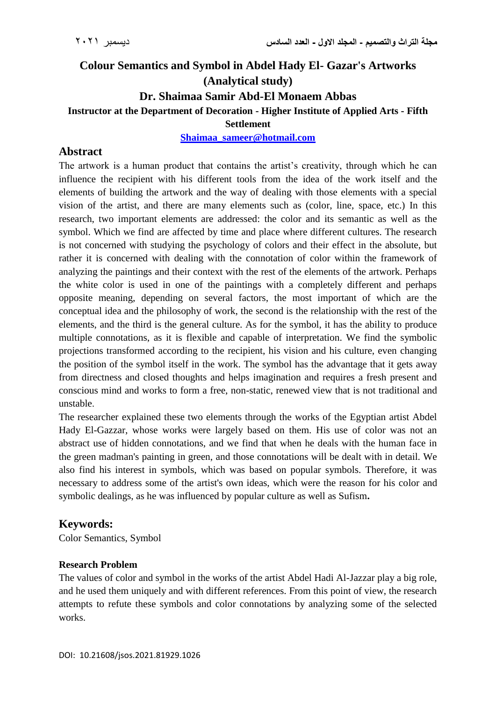# **Colour Semantics and Symbol in Abdel Hady El- Gazar's Artworks (Analytical study) Dr. Shaimaa Samir Abd-El Monaem Abbas Instructor at the Department of Decoration - Higher Institute of Applied Arts - Fifth Settlement**

**[Shaimaa\\_sameer@hotmail.com](mailto:Shaimaa_sameer@hotmail.com)**

### **Abstract**

The artwork is a human product that contains the artist's creativity, through which he can influence the recipient with his different tools from the idea of the work itself and the elements of building the artwork and the way of dealing with those elements with a special vision of the artist, and there are many elements such as (color, line, space, etc.) In this research, two important elements are addressed: the color and its semantic as well as the symbol. Which we find are affected by time and place where different cultures. The research is not concerned with studying the psychology of colors and their effect in the absolute, but rather it is concerned with dealing with the connotation of color within the framework of analyzing the paintings and their context with the rest of the elements of the artwork. Perhaps the white color is used in one of the paintings with a completely different and perhaps opposite meaning, depending on several factors, the most important of which are the conceptual idea and the philosophy of work, the second is the relationship with the rest of the elements, and the third is the general culture. As for the symbol, it has the ability to produce multiple connotations, as it is flexible and capable of interpretation. We find the symbolic projections transformed according to the recipient, his vision and his culture, even changing the position of the symbol itself in the work. The symbol has the advantage that it gets away from directness and closed thoughts and helps imagination and requires a fresh present and conscious mind and works to form a free, non-static, renewed view that is not traditional and unstable.

The researcher explained these two elements through the works of the Egyptian artist Abdel Hady El-Gazzar, whose works were largely based on them. His use of color was not an abstract use of hidden connotations, and we find that when he deals with the human face in the green madman's painting in green, and those connotations will be dealt with in detail. We also find his interest in symbols, which was based on popular symbols. Therefore, it was necessary to address some of the artist's own ideas, which were the reason for his color and symbolic dealings, as he was influenced by popular culture as well as Sufism**.**

#### **Keywords:**

Color Semantics, Symbol

#### **Research Problem**

The values of color and symbol in the works of the artist Abdel Hadi Al-Jazzar play a big role, and he used them uniquely and with different references. From this point of view, the research attempts to refute these symbols and color connotations by analyzing some of the selected works.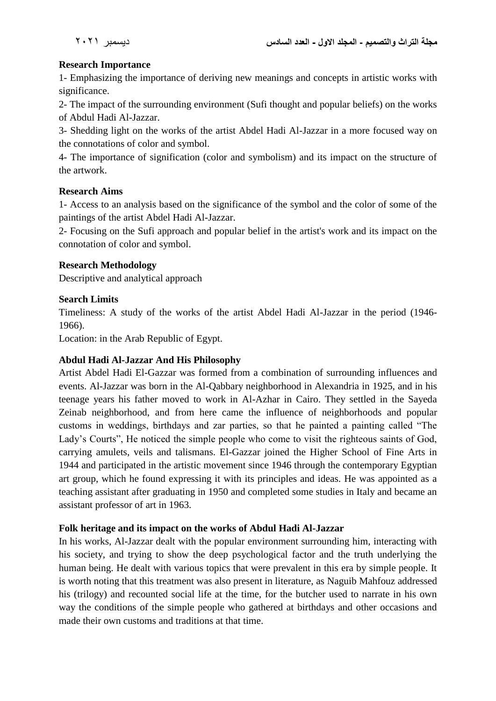### **Research Importance**

1- Emphasizing the importance of deriving new meanings and concepts in artistic works with significance.

2- The impact of the surrounding environment (Sufi thought and popular beliefs) on the works of Abdul Hadi Al-Jazzar.

3- Shedding light on the works of the artist Abdel Hadi Al-Jazzar in a more focused way on the connotations of color and symbol.

4- The importance of signification (color and symbolism) and its impact on the structure of the artwork.

#### **Research Aims**

1- Access to an analysis based on the significance of the symbol and the color of some of the paintings of the artist Abdel Hadi Al-Jazzar.

2- Focusing on the Sufi approach and popular belief in the artist's work and its impact on the connotation of color and symbol.

### **Research Methodology**

Descriptive and analytical approach

### **Search Limits**

Timeliness: A study of the works of the artist Abdel Hadi Al-Jazzar in the period (1946- 1966).

Location: in the Arab Republic of Egypt.

## **Abdul Hadi Al-Jazzar And His Philosophy**

Artist Abdel Hadi El-Gazzar was formed from a combination of surrounding influences and events. Al-Jazzar was born in the Al-Qabbary neighborhood in Alexandria in 1925, and in his teenage years his father moved to work in Al-Azhar in Cairo. They settled in the Sayeda Zeinab neighborhood, and from here came the influence of neighborhoods and popular customs in weddings, birthdays and zar parties, so that he painted a painting called "The Lady's Courts", He noticed the simple people who come to visit the righteous saints of God, carrying amulets, veils and talismans. El-Gazzar joined the Higher School of Fine Arts in 1944 and participated in the artistic movement since 1946 through the contemporary Egyptian art group, which he found expressing it with its principles and ideas. He was appointed as a teaching assistant after graduating in 1950 and completed some studies in Italy and became an assistant professor of art in 1963.

#### **Folk heritage and its impact on the works of Abdul Hadi Al-Jazzar**

In his works, Al-Jazzar dealt with the popular environment surrounding him, interacting with his society, and trying to show the deep psychological factor and the truth underlying the human being. He dealt with various topics that were prevalent in this era by simple people. It is worth noting that this treatment was also present in literature, as Naguib Mahfouz addressed his (trilogy) and recounted social life at the time, for the butcher used to narrate in his own way the conditions of the simple people who gathered at birthdays and other occasions and made their own customs and traditions at that time.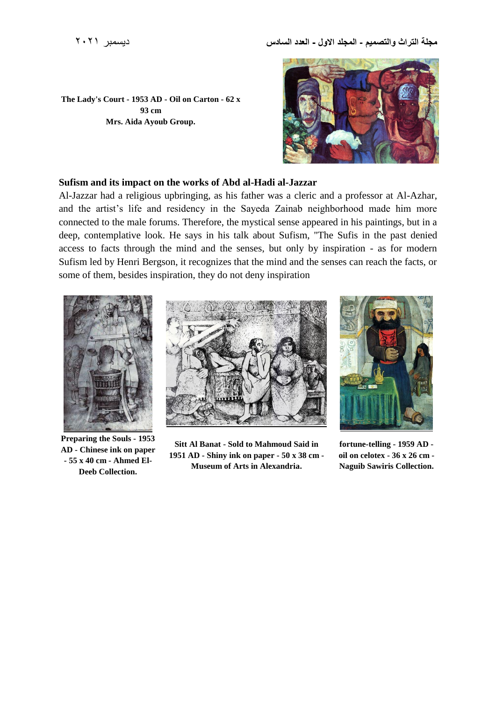



#### **Sufism and its impact on the works of Abd al-Hadi al-Jazzar**

Al-Jazzar had a religious upbringing, as his father was a cleric and a professor at Al-Azhar, and the artist's life and residency in the Sayeda Zainab neighborhood made him more connected to the male forums. Therefore, the mystical sense appeared in his paintings, but in a deep, contemplative look. He says in his talk about Sufism, "The Sufis in the past denied access to facts through the mind and the senses, but only by inspiration - as for modern Sufism led by Henri Bergson, it recognizes that the mind and the senses can reach the facts, or some of them, besides inspiration, they do not deny inspiration



**Preparing the Souls - 1953 AD - Chinese ink on paper - 55 x 40 cm - Ahmed El-Deeb Collection.**



**Sitt Al Banat - Sold to Mahmoud Said in 1951 AD - Shiny ink on paper - 50 x 38 cm - Museum of Arts in Alexandria.**



**fortune-telling - 1959 AD oil on celotex - 36 x 26 cm - Naguib Sawiris Collection.**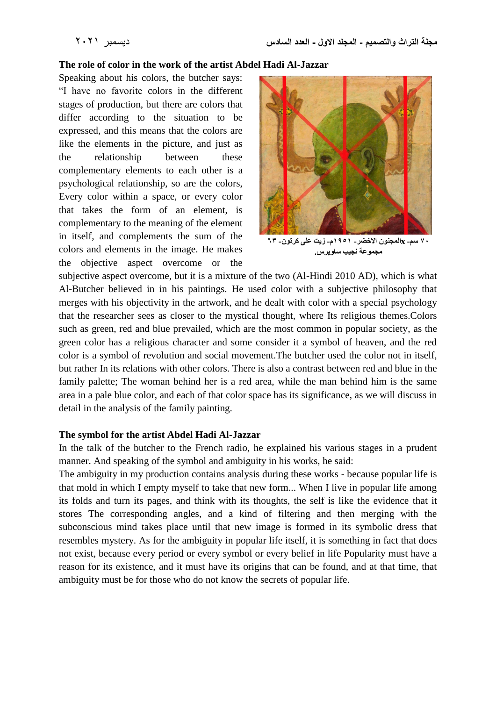#### **The role of color in the work of the artist Abdel Hadi Al-Jazzar**

Speaking about his colors, the butcher says: "I have no favorite colors in the different stages of production, but there are colors that differ according to the situation to be expressed, and this means that the colors are like the elements in the picture, and just as the relationship between these complementary elements to each other is a psychological relationship, so are the colors, Every color within a space, or every color that takes the form of an element, is complementary to the meaning of the element in itself, and complements the sum of the colors and elements in the image. He makes the objective aspect overcome or the



**70 سم- xالمجنون االخضر- 1951م- زيت على كرتون- 63 مجموعة نجيب ساويرس.**

subjective aspect overcome, but it is a mixture of the two (Al-Hindi 2010 AD), which is what Al-Butcher believed in in his paintings. He used color with a subjective philosophy that merges with his objectivity in the artwork, and he dealt with color with a special psychology that the researcher sees as closer to the mystical thought, where Its religious themes.Colors such as green, red and blue prevailed, which are the most common in popular society, as the green color has a religious character and some consider it a symbol of heaven, and the red color is a symbol of revolution and social movement.The butcher used the color not in itself, but rather In its relations with other colors. There is also a contrast between red and blue in the family palette; The woman behind her is a red area, while the man behind him is the same area in a pale blue color, and each of that color space has its significance, as we will discuss in detail in the analysis of the family painting.

#### **The symbol for the artist Abdel Hadi Al-Jazzar**

In the talk of the butcher to the French radio, he explained his various stages in a prudent manner. And speaking of the symbol and ambiguity in his works, he said:

The ambiguity in my production contains analysis during these works - because popular life is that mold in which I empty myself to take that new form... When I live in popular life among its folds and turn its pages, and think with its thoughts, the self is like the evidence that it stores The corresponding angles, and a kind of filtering and then merging with the subconscious mind takes place until that new image is formed in its symbolic dress that resembles mystery. As for the ambiguity in popular life itself, it is something in fact that does not exist, because every period or every symbol or every belief in life Popularity must have a reason for its existence, and it must have its origins that can be found, and at that time, that ambiguity must be for those who do not know the secrets of popular life.